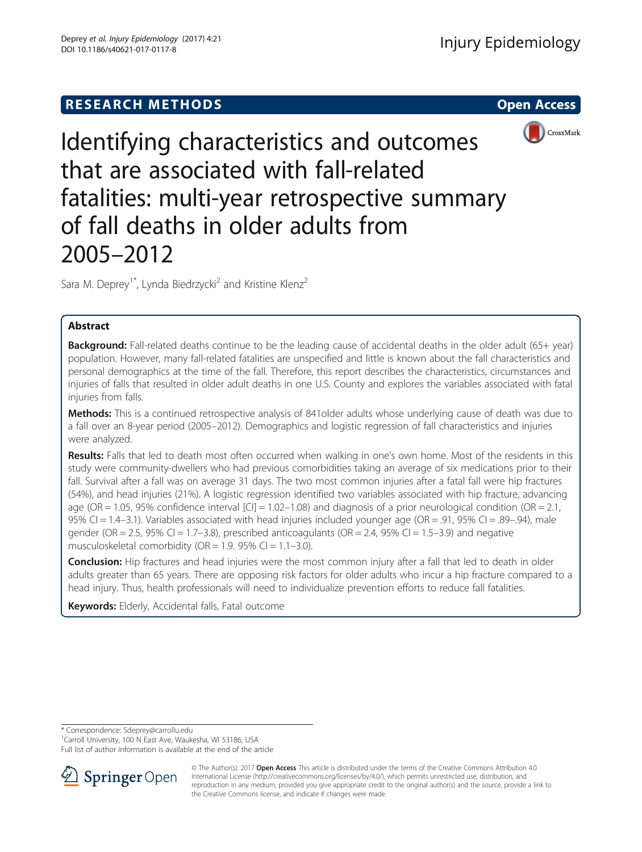# **RESEARCH METHODS CONSUMING ACCESS**



# Identifying characteristics and outcomes that are associated with fall-related fatalities: multi-year retrospective summary of fall deaths in older adults from 2005–2012

Sara M. Deprey<sup>1\*</sup>, Lynda Biedrzycki<sup>2</sup> and Kristine Klenz<sup>2</sup>

# Abstract

Background: Fall-related deaths continue to be the leading cause of accidental deaths in the older adult (65+ year) population. However, many fall-related fatalities are unspecified and little is known about the fall characteristics and personal demographics at the time of the fall. Therefore, this report describes the characteristics, circumstances and injuries of falls that resulted in older adult deaths in one U.S. County and explores the variables associated with fatal injuries from falls.

Methods: This is a continued retrospective analysis of 841older adults whose underlying cause of death was due to a fall over an 8-year period (2005–2012). Demographics and logistic regression of fall characteristics and injuries were analyzed.

Results: Falls that led to death most often occurred when walking in one's own home. Most of the residents in this study were community-dwellers who had previous comorbidities taking an average of six medications prior to their fall. Survival after a fall was on average 31 days. The two most common injuries after a fatal fall were hip fractures (54%), and head injuries (21%). A logistic regression identified two variables associated with hip fracture, advancing age (OR = 1.05, 95% confidence interval  $|Cl| = 1.02-1.08$ ) and diagnosis of a prior neurological condition (OR = 2.1, 95% CI = 1.4–3.1). Variables associated with head injuries included younger age ( $OR = .91$ , 95% CI = .89–.94), male gender (OR = 2.5, 95% CI = 1.7-3.8), prescribed anticoagulants (OR = 2.4, 95% CI = 1.5-3.9) and negative musculoskeletal comorbidity ( $OR = 1.9$ . 95% CI = 1.1-3.0).

**Conclusion:** Hip fractures and head injuries were the most common injury after a fall that led to death in older adults greater than 65 years. There are opposing risk factors for older adults who incur a hip fracture compared to a head injury. Thus, health professionals will need to individualize prevention efforts to reduce fall fatalities.

Keywords: Elderly, Accidental falls, Fatal outcome

\* Correspondence: [Sdeprey@carrollu.edu](mailto:Sdeprey@carrollu.edu) <sup>1</sup>

<sup>1</sup> Carroll University, 100 N East Ave, Waukesha, WI 53186, USA

Full list of author information is available at the end of the article



<sup>©</sup> The Author(s). 2017 **Open Access** This article is distributed under the terms of the Creative Commons Attribution 4.0 International License ([http://creativecommons.org/licenses/by/4.0/\)](http://creativecommons.org/licenses/by/4.0/), which permits unrestricted use, distribution, and reproduction in any medium, provided you give appropriate credit to the original author(s) and the source, provide a link to the Creative Commons license, and indicate if changes were made.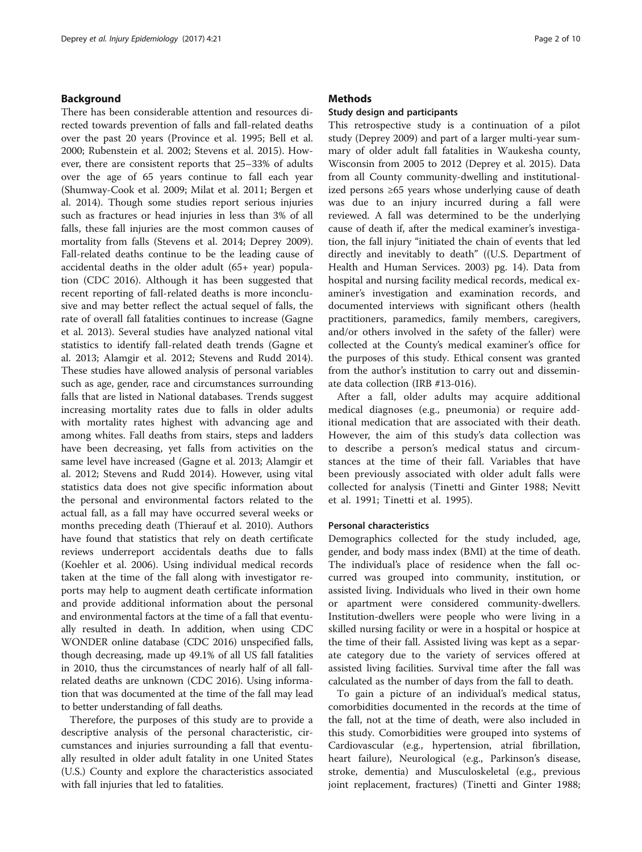## Background

There has been considerable attention and resources directed towards prevention of falls and fall-related deaths over the past 20 years (Province et al. [1995;](#page-9-0) Bell et al. [2000](#page-8-0); Rubenstein et al. [2002;](#page-9-0) Stevens et al. [2015\)](#page-9-0). However, there are consistent reports that 25–33% of adults over the age of 65 years continue to fall each year (Shumway-Cook et al. [2009](#page-9-0); Milat et al. [2011](#page-9-0); Bergen et al. [2014](#page-8-0)). Though some studies report serious injuries such as fractures or head injuries in less than 3% of all falls, these fall injuries are the most common causes of mortality from falls (Stevens et al. [2014;](#page-9-0) Deprey [2009](#page-8-0)). Fall-related deaths continue to be the leading cause of accidental deaths in the older adult (65+ year) population (CDC [2016](#page-8-0)). Although it has been suggested that recent reporting of fall-related deaths is more inconclusive and may better reflect the actual sequel of falls, the rate of overall fall fatalities continues to increase (Gagne et al. [2013\)](#page-8-0). Several studies have analyzed national vital statistics to identify fall-related death trends (Gagne et al. [2013;](#page-8-0) Alamgir et al. [2012;](#page-8-0) Stevens and Rudd [2014](#page-9-0)). These studies have allowed analysis of personal variables such as age, gender, race and circumstances surrounding falls that are listed in National databases. Trends suggest increasing mortality rates due to falls in older adults with mortality rates highest with advancing age and among whites. Fall deaths from stairs, steps and ladders have been decreasing, yet falls from activities on the same level have increased (Gagne et al. [2013](#page-8-0); Alamgir et al. [2012;](#page-8-0) Stevens and Rudd [2014\)](#page-9-0). However, using vital statistics data does not give specific information about the personal and environmental factors related to the actual fall, as a fall may have occurred several weeks or months preceding death (Thierauf et al. [2010](#page-9-0)). Authors have found that statistics that rely on death certificate reviews underreport accidentals deaths due to falls (Koehler et al. [2006\)](#page-9-0). Using individual medical records taken at the time of the fall along with investigator reports may help to augment death certificate information and provide additional information about the personal and environmental factors at the time of a fall that eventually resulted in death. In addition, when using CDC WONDER online database (CDC [2016\)](#page-8-0) unspecified falls, though decreasing, made up 49.1% of all US fall fatalities in 2010, thus the circumstances of nearly half of all fallrelated deaths are unknown (CDC [2016](#page-8-0)). Using information that was documented at the time of the fall may lead to better understanding of fall deaths.

Therefore, the purposes of this study are to provide a descriptive analysis of the personal characteristic, circumstances and injuries surrounding a fall that eventually resulted in older adult fatality in one United States (U.S.) County and explore the characteristics associated with fall injuries that led to fatalities.

#### **Methods**

#### Study design and participants

This retrospective study is a continuation of a pilot study (Deprey [2009\)](#page-8-0) and part of a larger multi-year summary of older adult fall fatalities in Waukesha county, Wisconsin from 2005 to 2012 (Deprey et al. [2015\)](#page-8-0). Data from all County community-dwelling and institutionalized persons ≥65 years whose underlying cause of death was due to an injury incurred during a fall were reviewed. A fall was determined to be the underlying cause of death if, after the medical examiner's investigation, the fall injury "initiated the chain of events that led directly and inevitably to death" ((U.S. Department of Health and Human Services. [2003](#page-9-0)) pg. 14). Data from hospital and nursing facility medical records, medical examiner's investigation and examination records, and documented interviews with significant others (health practitioners, paramedics, family members, caregivers, and/or others involved in the safety of the faller) were collected at the County's medical examiner's office for the purposes of this study. Ethical consent was granted from the author's institution to carry out and disseminate data collection (IRB #13-016).

After a fall, older adults may acquire additional medical diagnoses (e.g., pneumonia) or require additional medication that are associated with their death. However, the aim of this study's data collection was to describe a person's medical status and circumstances at the time of their fall. Variables that have been previously associated with older adult falls were collected for analysis (Tinetti and Ginter [1988](#page-9-0); Nevitt et al. [1991;](#page-9-0) Tinetti et al. [1995](#page-9-0)).

#### Personal characteristics

Demographics collected for the study included, age, gender, and body mass index (BMI) at the time of death. The individual's place of residence when the fall occurred was grouped into community, institution, or assisted living. Individuals who lived in their own home or apartment were considered community-dwellers. Institution-dwellers were people who were living in a skilled nursing facility or were in a hospital or hospice at the time of their fall. Assisted living was kept as a separate category due to the variety of services offered at assisted living facilities. Survival time after the fall was calculated as the number of days from the fall to death.

To gain a picture of an individual's medical status, comorbidities documented in the records at the time of the fall, not at the time of death, were also included in this study. Comorbidities were grouped into systems of Cardiovascular (e.g., hypertension, atrial fibrillation, heart failure), Neurological (e.g., Parkinson's disease, stroke, dementia) and Musculoskeletal (e.g., previous joint replacement, fractures) (Tinetti and Ginter [1988](#page-9-0);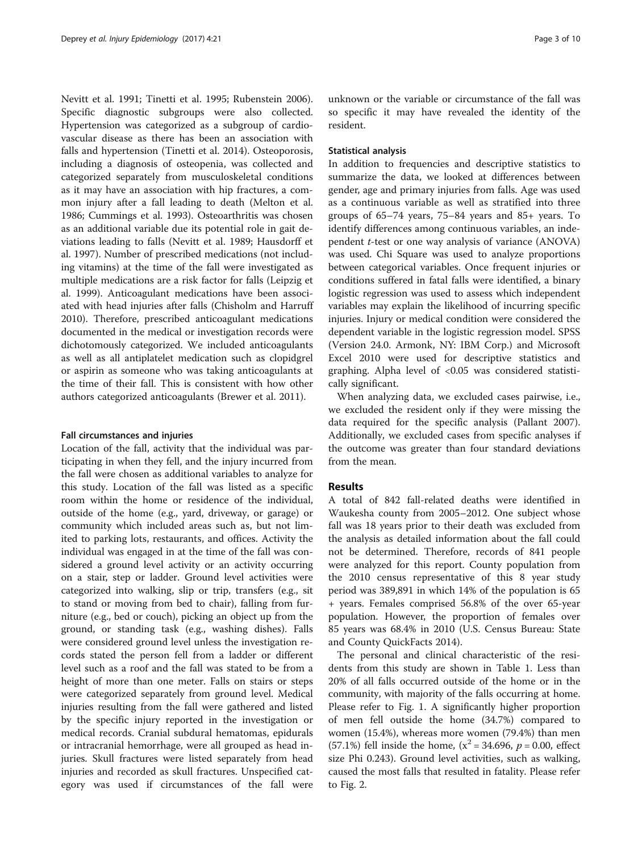Nevitt et al. [1991](#page-9-0); Tinetti et al. [1995](#page-9-0); Rubenstein [2006](#page-9-0)). Specific diagnostic subgroups were also collected. Hypertension was categorized as a subgroup of cardiovascular disease as there has been an association with falls and hypertension (Tinetti et al. [2014](#page-9-0)). Osteoporosis, including a diagnosis of osteopenia, was collected and categorized separately from musculoskeletal conditions as it may have an association with hip fractures, a common injury after a fall leading to death (Melton et al. [1986](#page-9-0); Cummings et al. [1993](#page-8-0)). Osteoarthritis was chosen as an additional variable due its potential role in gait deviations leading to falls (Nevitt et al. [1989;](#page-9-0) Hausdorff et al. [1997](#page-8-0)). Number of prescribed medications (not including vitamins) at the time of the fall were investigated as multiple medications are a risk factor for falls (Leipzig et al. [1999](#page-9-0)). Anticoagulant medications have been associated with head injuries after falls (Chisholm and Harruff [2010](#page-8-0)). Therefore, prescribed anticoagulant medications documented in the medical or investigation records were dichotomously categorized. We included anticoagulants as well as all antiplatelet medication such as clopidgrel or aspirin as someone who was taking anticoagulants at the time of their fall. This is consistent with how other authors categorized anticoagulants (Brewer et al. [2011\)](#page-8-0).

#### Fall circumstances and injuries

Location of the fall, activity that the individual was participating in when they fell, and the injury incurred from the fall were chosen as additional variables to analyze for this study. Location of the fall was listed as a specific room within the home or residence of the individual, outside of the home (e.g., yard, driveway, or garage) or community which included areas such as, but not limited to parking lots, restaurants, and offices. Activity the individual was engaged in at the time of the fall was considered a ground level activity or an activity occurring on a stair, step or ladder. Ground level activities were categorized into walking, slip or trip, transfers (e.g., sit to stand or moving from bed to chair), falling from furniture (e.g., bed or couch), picking an object up from the ground, or standing task (e.g., washing dishes). Falls were considered ground level unless the investigation records stated the person fell from a ladder or different level such as a roof and the fall was stated to be from a height of more than one meter. Falls on stairs or steps were categorized separately from ground level. Medical injuries resulting from the fall were gathered and listed by the specific injury reported in the investigation or medical records. Cranial subdural hematomas, epidurals or intracranial hemorrhage, were all grouped as head injuries. Skull fractures were listed separately from head injuries and recorded as skull fractures. Unspecified category was used if circumstances of the fall were

unknown or the variable or circumstance of the fall was so specific it may have revealed the identity of the resident.

## Statistical analysis

In addition to frequencies and descriptive statistics to summarize the data, we looked at differences between gender, age and primary injuries from falls. Age was used as a continuous variable as well as stratified into three groups of 65–74 years, 75–84 years and 85+ years. To identify differences among continuous variables, an independent t-test or one way analysis of variance (ANOVA) was used. Chi Square was used to analyze proportions between categorical variables. Once frequent injuries or conditions suffered in fatal falls were identified, a binary logistic regression was used to assess which independent variables may explain the likelihood of incurring specific injuries. Injury or medical condition were considered the dependent variable in the logistic regression model. SPSS (Version 24.0. Armonk, NY: IBM Corp.) and Microsoft Excel 2010 were used for descriptive statistics and graphing. Alpha level of <0.05 was considered statistically significant.

When analyzing data, we excluded cases pairwise, i.e., we excluded the resident only if they were missing the data required for the specific analysis (Pallant [2007](#page-9-0)). Additionally, we excluded cases from specific analyses if the outcome was greater than four standard deviations from the mean.

# **Results**

A total of 842 fall-related deaths were identified in Waukesha county from 2005–2012. One subject whose fall was 18 years prior to their death was excluded from the analysis as detailed information about the fall could not be determined. Therefore, records of 841 people were analyzed for this report. County population from the 2010 census representative of this 8 year study period was 389,891 in which 14% of the population is 65 + years. Females comprised 56.8% of the over 65-year population. However, the proportion of females over 85 years was 68.4% in 2010 (U.S. Census Bureau: State and County QuickFacts [2014\)](#page-9-0).

The personal and clinical characteristic of the residents from this study are shown in Table [1.](#page-3-0) Less than 20% of all falls occurred outside of the home or in the community, with majority of the falls occurring at home. Please refer to Fig. [1](#page-4-0). A significantly higher proportion of men fell outside the home (34.7%) compared to women (15.4%), whereas more women (79.4%) than men (57.1%) fell inside the home,  $(x^2 = 34.696, p = 0.00,$  effect size Phi 0.243). Ground level activities, such as walking, caused the most falls that resulted in fatality. Please refer to Fig. [2](#page-4-0).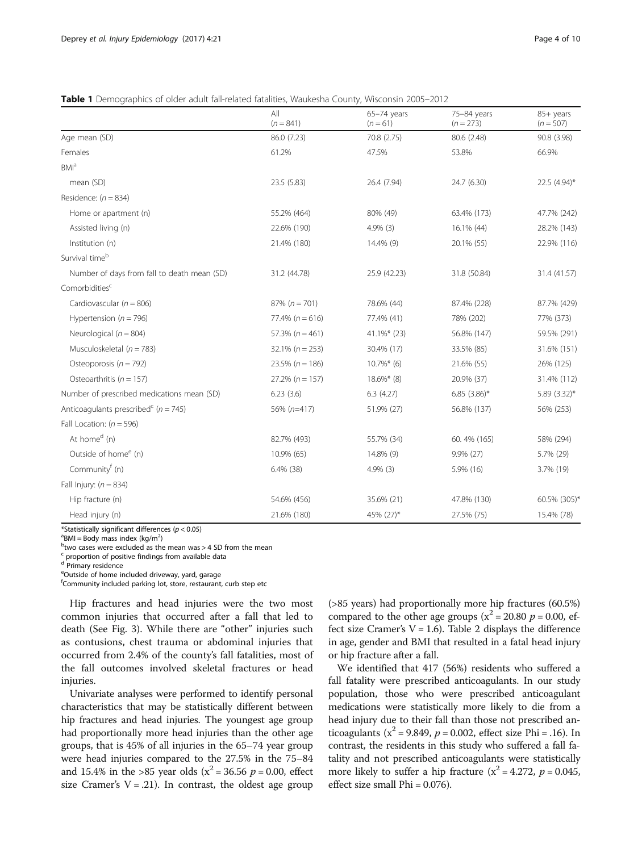<span id="page-3-0"></span>

|  |  |  | <b>Table 1</b> Demographics of older adult fall-related fatalities, Waukesha County, Wisconsin 2005–2012 |  |  |  |  |
|--|--|--|----------------------------------------------------------------------------------------------------------|--|--|--|--|
|--|--|--|----------------------------------------------------------------------------------------------------------|--|--|--|--|

|                                                      | All<br>$(n = 841)$ | $65-74$ years<br>$(n=61)$ | 75-84 years<br>$(n = 273)$ | 85+ years<br>$(n = 507)$ |
|------------------------------------------------------|--------------------|---------------------------|----------------------------|--------------------------|
| Age mean (SD)                                        | 86.0 (7.23)        | 70.8 (2.75)               | 80.6 (2.48)                | 90.8 (3.98)              |
| Females                                              | 61.2%              | 47.5%                     | 53.8%                      | 66.9%                    |
| BMI <sup>a</sup>                                     |                    |                           |                            |                          |
| mean (SD)                                            | 23.5 (5.83)        | 26.4 (7.94)               | 24.7 (6.30)                | 22.5 (4.94)*             |
| Residence: $(n = 834)$                               |                    |                           |                            |                          |
| Home or apartment (n)                                | 55.2% (464)        | 80% (49)                  | 63.4% (173)                | 47.7% (242)              |
| Assisted living (n)                                  | 22.6% (190)        | $4.9\%$ (3)               | 16.1% (44)                 | 28.2% (143)              |
| Institution (n)                                      | 21.4% (180)        | 14.4% (9)                 | 20.1% (55)                 | 22.9% (116)              |
| Survival time <sup>b</sup>                           |                    |                           |                            |                          |
| Number of days from fall to death mean (SD)          | 31.2 (44.78)       | 25.9 (42.23)              | 31.8 (50.84)               | 31.4 (41.57)             |
| Comorbidities <sup>c</sup>                           |                    |                           |                            |                          |
| Cardiovascular ( $n = 806$ )                         | $87\% (n = 701)$   | 78.6% (44)                | 87.4% (228)                | 87.7% (429)              |
| Hypertension ( $n = 796$ )                           | $77.4\% (n = 616)$ | 77.4% (41)                | 78% (202)                  | 77% (373)                |
| Neurological ( $n = 804$ )                           | $57.3\% (n = 461)$ | 41.1%* (23)               | 56.8% (147)                | 59.5% (291)              |
| Musculoskeletal ( $n = 783$ )                        | $32.1\% (n = 253)$ | 30.4% (17)                | 33.5% (85)                 | 31.6% (151)              |
| Osteoporosis ( $n = 792$ )                           | $23.5\% (n = 186)$ | $10.7\%*$ (6)             | 21.6% (55)                 | 26% (125)                |
| Osteoarthritis ( $n = 157$ )                         | $27.2\% (n = 157)$ | $18.6\%*$ (8)             | 20.9% (37)                 | 31.4% (112)              |
| Number of prescribed medications mean (SD)           | 6.23(3.6)          | 6.3(4.27)                 | $6.85$ (3.86)*             | 5.89 (3.32)*             |
| Anticoaqulants prescribed <sup>c</sup> ( $n = 745$ ) | 56% (n=417)        | 51.9% (27)                | 56.8% (137)                | 56% (253)                |
| Fall Location: $(n = 596)$                           |                    |                           |                            |                          |
| At home <sup>d</sup> (n)                             | 82.7% (493)        | 55.7% (34)                | 60.4% (165)                | 58% (294)                |
| Outside of home <sup>e</sup> (n)                     | 10.9% (65)         | 14.8% (9)                 | $9.9\%$ (27)               | 5.7% (29)                |
| Community <sup>f</sup> (n)                           | 6.4% (38)          | $4.9\%$ (3)               | 5.9% (16)                  | 3.7% (19)                |
| Fall Injury: $(n = 834)$                             |                    |                           |                            |                          |
| Hip fracture (n)                                     | 54.6% (456)        | 35.6% (21)                | 47.8% (130)                | 60.5% (305)*             |
| Head injury (n)                                      | 21.6% (180)        | 45% (27)*                 | 27.5% (75)                 | 15.4% (78)               |

\*Statistically significant differences ( $p < 0.05$ )

 $B<sup>a</sup>BMI = Body mass index (kg/m<sup>2</sup>)$ 

 $b$ two cases were excluded as the mean was > 4 SD from the mean

<sup>c</sup> proportion of positive findings from available data

<sup>d</sup> Primary residence

eOutside of home included driveway, yard, garage f Community included parking lot, store, restaurant, curb step etc

Hip fractures and head injuries were the two most common injuries that occurred after a fall that led to death (See Fig. [3\)](#page-5-0). While there are "other" injuries such as contusions, chest trauma or abdominal injuries that occurred from 2.4% of the county's fall fatalities, most of the fall outcomes involved skeletal fractures or head injuries.

Univariate analyses were performed to identify personal characteristics that may be statistically different between hip fractures and head injuries. The youngest age group had proportionally more head injuries than the other age groups, that is 45% of all injuries in the 65–74 year group were head injuries compared to the 27.5% in the 75–84 and 15.4% in the >85 year olds ( $x^2 = 36.56$  p = 0.00, effect size Cramer's  $V = .21$ ). In contrast, the oldest age group

(>85 years) had proportionally more hip fractures (60.5%) compared to the other age groups ( $x^2 = 20.80$   $p = 0.00$ , effect size Cramer's  $V = 1.6$ ). Table [2](#page-5-0) displays the difference in age, gender and BMI that resulted in a fatal head injury or hip fracture after a fall.

We identified that 417 (56%) residents who suffered a fall fatality were prescribed anticoagulants. In our study population, those who were prescribed anticoagulant medications were statistically more likely to die from a head injury due to their fall than those not prescribed anticoagulants ( $x^2 = 9.849$ ,  $p = 0.002$ , effect size Phi = .16). In contrast, the residents in this study who suffered a fall fatality and not prescribed anticoagulants were statistically more likely to suffer a hip fracture  $(x^2 = 4.272, p = 0.045,$ effect size small  $Phi = 0.076$ ).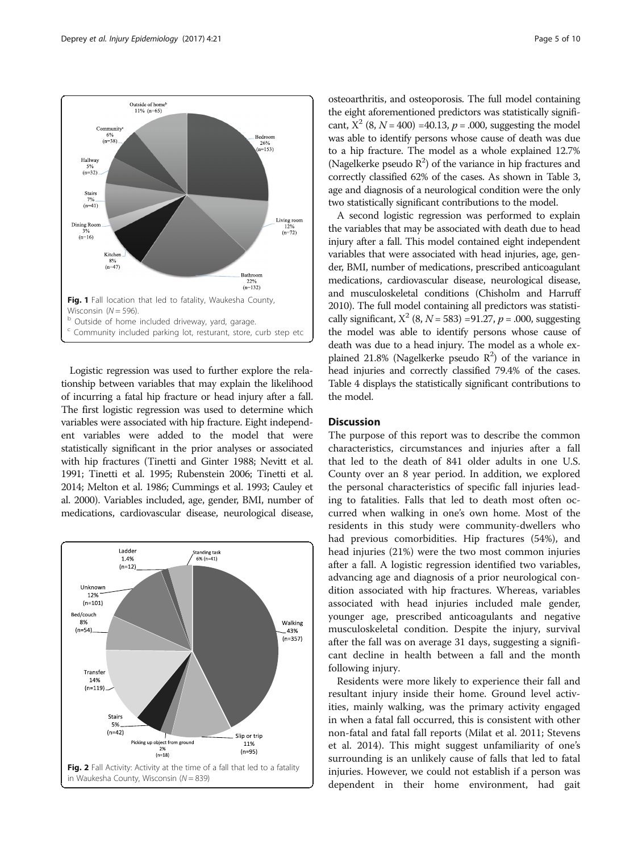<span id="page-4-0"></span>

Logistic regression was used to further explore the relationship between variables that may explain the likelihood of incurring a fatal hip fracture or head injury after a fall. The first logistic regression was used to determine which variables were associated with hip fracture. Eight independent variables were added to the model that were statistically significant in the prior analyses or associated with hip fractures (Tinetti and Ginter [1988](#page-9-0); Nevitt et al. [1991;](#page-9-0) Tinetti et al. [1995;](#page-9-0) Rubenstein [2006;](#page-9-0) Tinetti et al. [2014;](#page-9-0) Melton et al. [1986](#page-9-0); Cummings et al. [1993;](#page-8-0) Cauley et al. [2000\)](#page-8-0). Variables included, age, gender, BMI, number of medications, cardiovascular disease, neurological disease,



osteoarthritis, and osteoporosis. The full model containing the eight aforementioned predictors was statistically significant,  $X^2$  (8,  $N = 400$ ) = 40.13,  $p = .000$ , suggesting the model was able to identify persons whose cause of death was due to a hip fracture. The model as a whole explained 12.7% (Nagelkerke pseudo  $R^2$ ) of the variance in hip fractures and correctly classified 62% of the cases. As shown in Table [3](#page-6-0), age and diagnosis of a neurological condition were the only two statistically significant contributions to the model.

A second logistic regression was performed to explain the variables that may be associated with death due to head injury after a fall. This model contained eight independent variables that were associated with head injuries, age, gender, BMI, number of medications, prescribed anticoagulant medications, cardiovascular disease, neurological disease, and musculoskeletal conditions (Chisholm and Harruff [2010\)](#page-8-0). The full model containing all predictors was statistically significant,  $X^2$  (8, N = 583) =91.27, p = .000, suggesting the model was able to identify persons whose cause of death was due to a head injury. The model as a whole explained 21.8% (Nagelkerke pseudo  $R^2$ ) of the variance in head injuries and correctly classified 79.4% of the cases. Table [4](#page-6-0) displays the statistically significant contributions to the model.

# **Discussion**

The purpose of this report was to describe the common characteristics, circumstances and injuries after a fall that led to the death of 841 older adults in one U.S. County over an 8 year period. In addition, we explored the personal characteristics of specific fall injuries leading to fatalities. Falls that led to death most often occurred when walking in one's own home. Most of the residents in this study were community-dwellers who had previous comorbidities. Hip fractures (54%), and head injuries (21%) were the two most common injuries after a fall. A logistic regression identified two variables, advancing age and diagnosis of a prior neurological condition associated with hip fractures. Whereas, variables associated with head injuries included male gender, younger age, prescribed anticoagulants and negative musculoskeletal condition. Despite the injury, survival after the fall was on average 31 days, suggesting a significant decline in health between a fall and the month following injury.

Residents were more likely to experience their fall and resultant injury inside their home. Ground level activities, mainly walking, was the primary activity engaged in when a fatal fall occurred, this is consistent with other non-fatal and fatal fall reports (Milat et al. [2011](#page-9-0); Stevens et al. [2014](#page-9-0)). This might suggest unfamiliarity of one's surrounding is an unlikely cause of falls that led to fatal injuries. However, we could not establish if a person was dependent in their home environment, had gait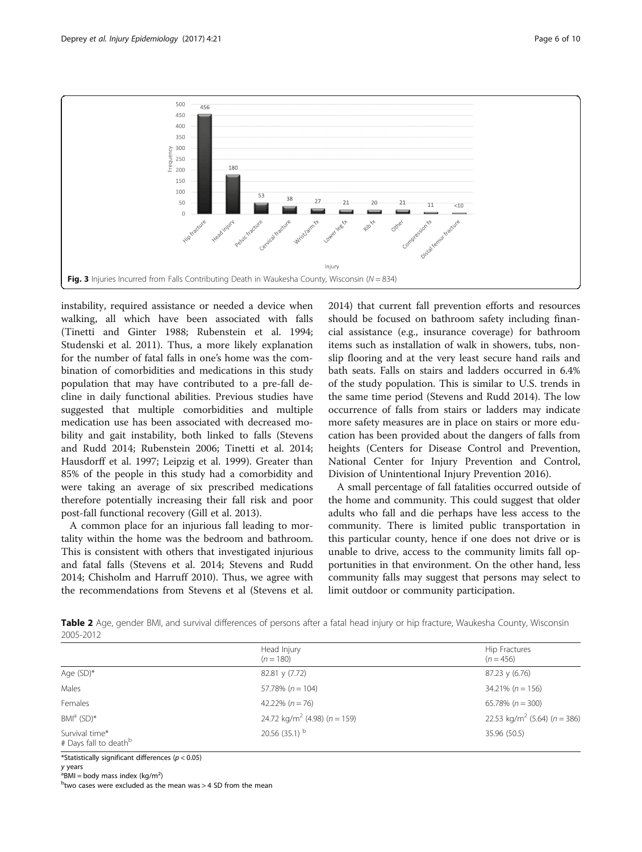<span id="page-5-0"></span>

instability, required assistance or needed a device when walking, all which have been associated with falls (Tinetti and Ginter [1988;](#page-9-0) Rubenstein et al. [1994](#page-9-0); Studenski et al. [2011\)](#page-9-0). Thus, a more likely explanation for the number of fatal falls in one's home was the combination of comorbidities and medications in this study population that may have contributed to a pre-fall decline in daily functional abilities. Previous studies have suggested that multiple comorbidities and multiple medication use has been associated with decreased mobility and gait instability, both linked to falls (Stevens and Rudd [2014;](#page-9-0) Rubenstein [2006](#page-9-0); Tinetti et al. [2014](#page-9-0); Hausdorff et al. [1997](#page-8-0); Leipzig et al. [1999](#page-9-0)). Greater than 85% of the people in this study had a comorbidity and were taking an average of six prescribed medications therefore potentially increasing their fall risk and poor post-fall functional recovery (Gill et al. [2013\)](#page-8-0).

A common place for an injurious fall leading to mortality within the home was the bedroom and bathroom. This is consistent with others that investigated injurious and fatal falls (Stevens et al. [2014;](#page-9-0) Stevens and Rudd [2014](#page-9-0); Chisholm and Harruff [2010](#page-8-0)). Thus, we agree with the recommendations from Stevens et al (Stevens et al. [2014](#page-9-0)) that current fall prevention efforts and resources should be focused on bathroom safety including financial assistance (e.g., insurance coverage) for bathroom items such as installation of walk in showers, tubs, nonslip flooring and at the very least secure hand rails and bath seats. Falls on stairs and ladders occurred in 6.4% of the study population. This is similar to U.S. trends in the same time period (Stevens and Rudd [2014](#page-9-0)). The low occurrence of falls from stairs or ladders may indicate more safety measures are in place on stairs or more education has been provided about the dangers of falls from heights (Centers for Disease Control and Prevention, National Center for Injury Prevention and Control, Division of Unintentional Injury Prevention [2016](#page-8-0)).

A small percentage of fall fatalities occurred outside of the home and community. This could suggest that older adults who fall and die perhaps have less access to the community. There is limited public transportation in this particular county, hence if one does not drive or is unable to drive, access to the community limits fall opportunities in that environment. On the other hand, less community falls may suggest that persons may select to limit outdoor or community participation.

Table 2 Age, gender BMI, and survival differences of persons after a fatal head injury or hip fracture, Waukesha County, Wisconsin 2005-2012

|                                                     | Head Injury<br>$(n = 180)$                   | Hip Fractures<br>$(n=456)$                   |
|-----------------------------------------------------|----------------------------------------------|----------------------------------------------|
| Age (SD)*                                           | 82.81 y (7.72)                               | 87.23 y (6.76)                               |
| Males                                               | $57.78\% (n = 104)$                          | $34.21\% (n = 156)$                          |
| Females                                             | 42.22% $(n = 76)$                            | $65.78\% (n = 300)$                          |
| BMI <sup>a</sup> (SD)*                              | 24.72 kg/m <sup>2</sup> (4.98) ( $n = 159$ ) | 22.53 kg/m <sup>2</sup> (5.64) ( $n = 386$ ) |
| Survival time*<br># Days fall to death <sup>b</sup> | 20.56 (35.1) $^{\rm b}$                      | 35.96 (50.5)                                 |

\*Statistically significant differences ( $p < 0.05$ )

 $b$ two cases were excluded as the mean was > 4 SD from the mean

y years<br><sup>a</sup>BMI = body mass index (kg/m<sup>2</sup>)<br><sup>b</sup>two cases were excluded as the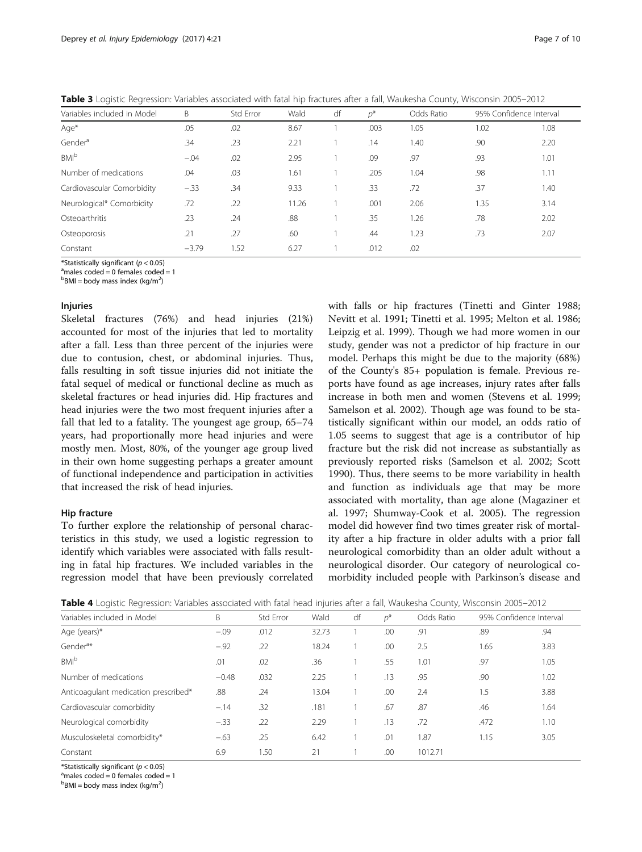| Variables included in Model | B       | Std Error | Wald  | df | $p^*$ | Odds Ratio |      | 95% Confidence Interval |  |
|-----------------------------|---------|-----------|-------|----|-------|------------|------|-------------------------|--|
| Age*                        | .05     | .02       | 8.67  |    | .003  | 1.05       | 1.02 | 1.08                    |  |
| Gender <sup>a</sup>         | .34     | .23       | 2.21  |    | .14   | 1.40       | .90  | 2.20                    |  |
| BM <sup>b</sup>             | $-.04$  | .02       | 2.95  |    | .09   | .97        | .93  | 1.01                    |  |
| Number of medications       | .04     | .03       | 1.61  |    | .205  | 1.04       | .98  | 1.11                    |  |
| Cardiovascular Comorbidity  | $-.33$  | .34       | 9.33  |    | .33   | .72        | .37  | 1.40                    |  |
| Neurological* Comorbidity   | .72     | .22       | 11.26 |    | .001  | 2.06       | 1.35 | 3.14                    |  |
| Osteoarthritis              | .23     | .24       | .88   |    | .35   | 1.26       | .78  | 2.02                    |  |
| Osteoporosis                | .21     | .27       | .60   |    | .44   | 1.23       | .73  | 2.07                    |  |
| Constant                    | $-3.79$ | 1.52      | 6.27  |    | .012  | .02        |      |                         |  |

<span id="page-6-0"></span>Table 3 Logistic Regression: Variables associated with fatal hip fractures after a fall, Waukesha County, Wisconsin 2005–2012

\*Statistically significant ( $p < 0.05$ )

 $^{\text{a}}$ males coded = 0 females coded = 1

 $B$ MI = body mass index (kg/m<sup>2</sup>)

#### Injuries

Skeletal fractures (76%) and head injuries (21%) accounted for most of the injuries that led to mortality after a fall. Less than three percent of the injuries were due to contusion, chest, or abdominal injuries. Thus, falls resulting in soft tissue injuries did not initiate the fatal sequel of medical or functional decline as much as skeletal fractures or head injuries did. Hip fractures and head injuries were the two most frequent injuries after a fall that led to a fatality. The youngest age group, 65–74 years, had proportionally more head injuries and were mostly men. Most, 80%, of the younger age group lived in their own home suggesting perhaps a greater amount of functional independence and participation in activities that increased the risk of head injuries.

#### Hip fracture

To further explore the relationship of personal characteristics in this study, we used a logistic regression to identify which variables were associated with falls resulting in fatal hip fractures. We included variables in the regression model that have been previously correlated with falls or hip fractures (Tinetti and Ginter [1988](#page-9-0); Nevitt et al. [1991](#page-9-0); Tinetti et al. [1995](#page-9-0); Melton et al. [1986](#page-9-0); Leipzig et al. [1999\)](#page-9-0). Though we had more women in our study, gender was not a predictor of hip fracture in our model. Perhaps this might be due to the majority (68%) of the County's 85+ population is female. Previous reports have found as age increases, injury rates after falls increase in both men and women (Stevens et al. [1999](#page-9-0); Samelson et al. [2002\)](#page-9-0). Though age was found to be statistically significant within our model, an odds ratio of 1.05 seems to suggest that age is a contributor of hip fracture but the risk did not increase as substantially as previously reported risks (Samelson et al. [2002](#page-9-0); Scott [1990](#page-9-0)). Thus, there seems to be more variability in health and function as individuals age that may be more associated with mortality, than age alone (Magaziner et al. [1997](#page-9-0); Shumway-Cook et al. [2005](#page-9-0)). The regression model did however find two times greater risk of mortality after a hip fracture in older adults with a prior fall neurological comorbidity than an older adult without a neurological disorder. Our category of neurological comorbidity included people with Parkinson's disease and

|  |  |  |  | Table 4 Logistic Regression: Variables associated with fatal head injuries after a fall, Waukesha County, Wisconsin 2005-2012 |
|--|--|--|--|-------------------------------------------------------------------------------------------------------------------------------|
|  |  |  |  |                                                                                                                               |

| Variables included in Model          | B       | Std Error<br>Wald<br>Odds Ratio<br>df<br>$D^*$ |       |     | 95% Confidence Interval |      |      |
|--------------------------------------|---------|------------------------------------------------|-------|-----|-------------------------|------|------|
| Age (years)*                         | $-.09$  | .012                                           | 32.73 | .00 | .91                     | .89  | .94  |
| Gender <sup>a*</sup>                 | $-.92$  | .22                                            | 18.24 | .00 | 2.5                     | 1.65 | 3.83 |
| BMI <sup>b</sup>                     | .01     | .02                                            | .36   | .55 | 1.01                    | .97  | 1.05 |
| Number of medications                | $-0.48$ | .032                                           | 2.25  | .13 | .95                     | .90  | 1.02 |
| Anticoagulant medication prescribed* | .88     | .24                                            | 13.04 | .00 | 2.4                     | .5   | 3.88 |
| Cardiovascular comorbidity           | $-.14$  | .32                                            | .181  | .67 | .87                     | .46  | 1.64 |
| Neurological comorbidity             | $-.33$  | .22                                            | 2.29  | .13 | .72                     | .472 | 1.10 |
| Musculoskeletal comorbidity*         | $-.63$  | .25                                            | 6.42  | .01 | 1.87                    | 1.15 | 3.05 |
| Constant                             | 6.9     | 1.50                                           | 21    | .00 | 1012.71                 |      |      |

\*Statistically significant ( $p < 0.05$ )

 $^{\circ}$ males coded = 0 females coded = 1

 $B$ MI = body mass index (kg/m<sup>2</sup>)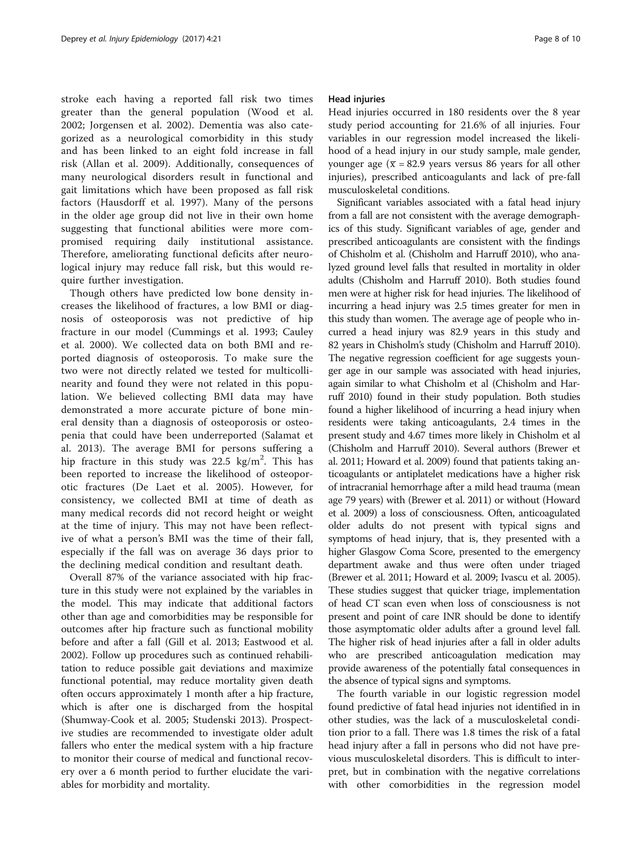stroke each having a reported fall risk two times greater than the general population (Wood et al. [2002;](#page-9-0) Jorgensen et al. [2002\)](#page-9-0). Dementia was also categorized as a neurological comorbidity in this study and has been linked to an eight fold increase in fall risk (Allan et al. [2009\)](#page-8-0). Additionally, consequences of many neurological disorders result in functional and gait limitations which have been proposed as fall risk factors (Hausdorff et al. [1997](#page-8-0)). Many of the persons in the older age group did not live in their own home suggesting that functional abilities were more compromised requiring daily institutional assistance. Therefore, ameliorating functional deficits after neurological injury may reduce fall risk, but this would require further investigation.

Though others have predicted low bone density increases the likelihood of fractures, a low BMI or diagnosis of osteoporosis was not predictive of hip fracture in our model (Cummings et al. [1993;](#page-8-0) Cauley et al. [2000](#page-8-0)). We collected data on both BMI and reported diagnosis of osteoporosis. To make sure the two were not directly related we tested for multicollinearity and found they were not related in this population. We believed collecting BMI data may have demonstrated a more accurate picture of bone mineral density than a diagnosis of osteoporosis or osteopenia that could have been underreported (Salamat et al. [2013](#page-9-0)). The average BMI for persons suffering a hip fracture in this study was  $22.5 \text{ kg/m}^2$ . This has been reported to increase the likelihood of osteoporotic fractures (De Laet et al. [2005\)](#page-8-0). However, for consistency, we collected BMI at time of death as many medical records did not record height or weight at the time of injury. This may not have been reflective of what a person's BMI was the time of their fall, especially if the fall was on average 36 days prior to the declining medical condition and resultant death.

Overall 87% of the variance associated with hip fracture in this study were not explained by the variables in the model. This may indicate that additional factors other than age and comorbidities may be responsible for outcomes after hip fracture such as functional mobility before and after a fall (Gill et al. [2013;](#page-8-0) Eastwood et al. [2002](#page-8-0)). Follow up procedures such as continued rehabilitation to reduce possible gait deviations and maximize functional potential, may reduce mortality given death often occurs approximately 1 month after a hip fracture, which is after one is discharged from the hospital (Shumway-Cook et al. [2005;](#page-9-0) Studenski [2013](#page-9-0)). Prospective studies are recommended to investigate older adult fallers who enter the medical system with a hip fracture to monitor their course of medical and functional recovery over a 6 month period to further elucidate the variables for morbidity and mortality.

#### Head injuries

Head injuries occurred in 180 residents over the 8 year study period accounting for 21.6% of all injuries. Four variables in our regression model increased the likelihood of a head injury in our study sample, male gender, younger age ( $\bar{x}$  = 82.9 years versus 86 years for all other injuries), prescribed anticoagulants and lack of pre-fall musculoskeletal conditions.

Significant variables associated with a fatal head injury from a fall are not consistent with the average demographics of this study. Significant variables of age, gender and prescribed anticoagulants are consistent with the findings of Chisholm et al. (Chisholm and Harruff [2010](#page-8-0)), who analyzed ground level falls that resulted in mortality in older adults (Chisholm and Harruff [2010\)](#page-8-0). Both studies found men were at higher risk for head injuries. The likelihood of incurring a head injury was 2.5 times greater for men in this study than women. The average age of people who incurred a head injury was 82.9 years in this study and 82 years in Chisholm's study (Chisholm and Harruff [2010](#page-8-0)). The negative regression coefficient for age suggests younger age in our sample was associated with head injuries, again similar to what Chisholm et al (Chisholm and Harruff [2010](#page-8-0)) found in their study population. Both studies found a higher likelihood of incurring a head injury when residents were taking anticoagulants, 2.4 times in the present study and 4.67 times more likely in Chisholm et al (Chisholm and Harruff [2010](#page-8-0)). Several authors (Brewer et al. [2011](#page-8-0); Howard et al. [2009\)](#page-9-0) found that patients taking anticoagulants or antiplatelet medications have a higher risk of intracranial hemorrhage after a mild head trauma (mean age 79 years) with (Brewer et al. [2011](#page-8-0)) or without (Howard et al. [2009](#page-9-0)) a loss of consciousness. Often, anticoagulated older adults do not present with typical signs and symptoms of head injury, that is, they presented with a higher Glasgow Coma Score, presented to the emergency department awake and thus were often under triaged (Brewer et al. [2011](#page-8-0); Howard et al. [2009;](#page-9-0) Ivascu et al. [2005](#page-9-0)). These studies suggest that quicker triage, implementation of head CT scan even when loss of consciousness is not present and point of care INR should be done to identify those asymptomatic older adults after a ground level fall. The higher risk of head injuries after a fall in older adults who are prescribed anticoagulation medication may provide awareness of the potentially fatal consequences in the absence of typical signs and symptoms.

The fourth variable in our logistic regression model found predictive of fatal head injuries not identified in in other studies, was the lack of a musculoskeletal condition prior to a fall. There was 1.8 times the risk of a fatal head injury after a fall in persons who did not have previous musculoskeletal disorders. This is difficult to interpret, but in combination with the negative correlations with other comorbidities in the regression model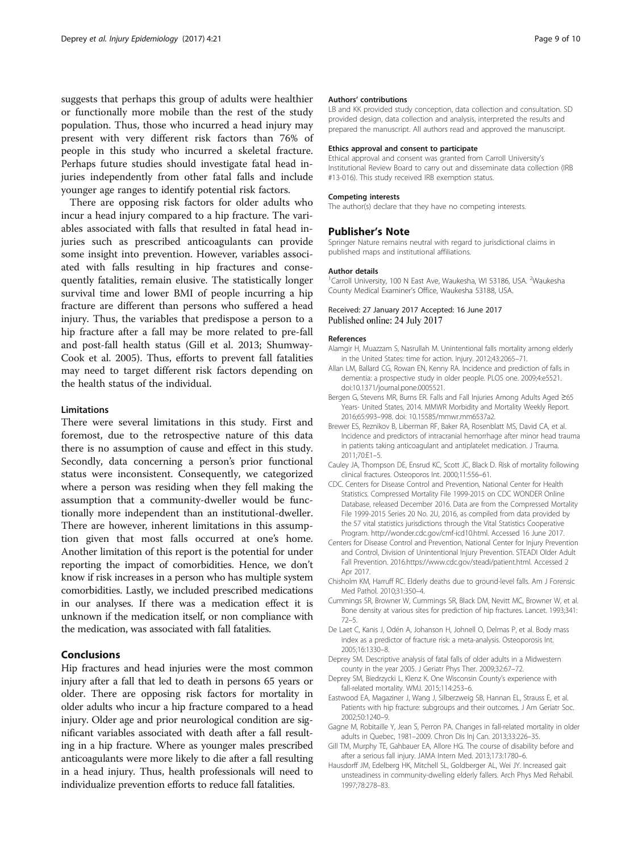<span id="page-8-0"></span>suggests that perhaps this group of adults were healthier or functionally more mobile than the rest of the study population. Thus, those who incurred a head injury may present with very different risk factors than 76% of people in this study who incurred a skeletal fracture. Perhaps future studies should investigate fatal head injuries independently from other fatal falls and include younger age ranges to identify potential risk factors.

There are opposing risk factors for older adults who incur a head injury compared to a hip fracture. The variables associated with falls that resulted in fatal head injuries such as prescribed anticoagulants can provide some insight into prevention. However, variables associated with falls resulting in hip fractures and consequently fatalities, remain elusive. The statistically longer survival time and lower BMI of people incurring a hip fracture are different than persons who suffered a head injury. Thus, the variables that predispose a person to a hip fracture after a fall may be more related to pre-fall and post-fall health status (Gill et al. 2013; Shumway-Cook et al. [2005\)](#page-9-0). Thus, efforts to prevent fall fatalities may need to target different risk factors depending on the health status of the individual.

#### Limitations

There were several limitations in this study. First and foremost, due to the retrospective nature of this data there is no assumption of cause and effect in this study. Secondly, data concerning a person's prior functional status were inconsistent. Consequently, we categorized where a person was residing when they fell making the assumption that a community-dweller would be functionally more independent than an institutional-dweller. There are however, inherent limitations in this assumption given that most falls occurred at one's home. Another limitation of this report is the potential for under reporting the impact of comorbidities. Hence, we don't know if risk increases in a person who has multiple system comorbidities. Lastly, we included prescribed medications in our analyses. If there was a medication effect it is unknown if the medication itself, or non compliance with the medication, was associated with fall fatalities.

# **Conclusions**

Hip fractures and head injuries were the most common injury after a fall that led to death in persons 65 years or older. There are opposing risk factors for mortality in older adults who incur a hip fracture compared to a head injury. Older age and prior neurological condition are significant variables associated with death after a fall resulting in a hip fracture. Where as younger males prescribed anticoagulants were more likely to die after a fall resulting in a head injury. Thus, health professionals will need to individualize prevention efforts to reduce fall fatalities.

#### Authors' contributions

LB and KK provided study conception, data collection and consultation. SD provided design, data collection and analysis, interpreted the results and prepared the manuscript. All authors read and approved the manuscript.

#### Ethics approval and consent to participate

Ethical approval and consent was granted from Carroll University's Institutional Review Board to carry out and disseminate data collection (IRB #13-016). This study received IRB exemption status.

#### Competing interests

The author(s) declare that they have no competing interests.

#### Publisher's Note

Springer Nature remains neutral with regard to jurisdictional claims in published maps and institutional affiliations.

#### Author details

<sup>1</sup>Carroll University, 100 N East Ave, Waukesha, WI 53186, USA. <sup>2</sup>Waukesha County Medical Examiner's Office, Waukesha 53188, USA.

#### Received: 27 January 2017 Accepted: 16 June 2017 Published online: 24 July 2017

#### References

- Alamgir H, Muazzam S, Nasrullah M. Unintentional falls mortality among elderly in the United States: time for action. Injury. 2012;43:2065–71.
- Allan LM, Ballard CG, Rowan EN, Kenny RA. Incidence and prediction of falls in dementia: a prospective study in older people. PLOS one. 2009;4:e5521. doi[:10.1371/journal.pone.0005521.](http://dx.doi.org/10.1371/journal.pone.0005521)
- Bergen G, Stevens MR, Burns ER. Falls and Fall Injuries Among Adults Aged ≥65 Years- United States, 2014. MMWR Morbidity and Mortality Weekly Report. 2016;65:993–998. doi: [10.15585/mmwr.mm6537a2.](http://dx.doi.org/10.15585/mmwr.mm6537a2)
- Brewer ES, Reznikov B, Liberman RF, Baker RA, Rosenblatt MS, David CA, et al. Incidence and predictors of intracranial hemorrhage after minor head trauma in patients taking anticoagulant and antiplatelet medication. J Trauma. 2011;70:E1–5.
- Cauley JA, Thompson DE, Ensrud KC, Scott JC, Black D. Risk of mortality following clinical fractures. Osteoporos Int. 2000;11:556–61.
- CDC. Centers for Disease Control and Prevention, National Center for Health Statistics. Compressed Mortality File 1999-2015 on CDC WONDER Online Database, released December 2016. Data are from the Compressed Mortality File 1999-2015 Series 20 No. 2U, 2016, as compiled from data provided by the 57 vital statistics jurisdictions through the Vital Statistics Cooperative Program. [http://wonder.cdc.gov/cmf-icd10.html.](http://wonder.cdc.gov/cmf-icd10.html) Accessed 16 June 2017.
- Centers for Disease Control and Prevention, National Center for Injury Prevention and Control, Division of Unintentional Injury Prevention. STEADI Older Adult Fall Prevention. 2016[.https://www.cdc.gov/steadi/patient.html](https://www.cdc.gov/steadi/patient.html). Accessed 2 Apr 2017.
- Chisholm KM, Harruff RC. Elderly deaths due to ground-level falls. Am J Forensic Med Pathol. 2010;31:350–4.
- Cummings SR, Browner W, Cummings SR, Black DM, Nevitt MC, Browner W, et al. Bone density at various sites for prediction of hip fractures. Lancet. 1993;341: 72–5.
- De Laet C, Kanis J, Odén A, Johanson H, Johnell O, Delmas P, et al. Body mass index as a predictor of fracture risk: a meta-analysis. Osteoporosis Int. 2005;16:1330–8.
- Deprey SM. Descriptive analysis of fatal falls of older adults in a Midwestern county in the year 2005. J Geriatr Phys Ther. 2009;32:67–72.
- Deprey SM, Biedrzycki L, Klenz K. One Wisconsin County's experience with fall-related mortality. WMJ. 2015;114:253–6.
- Eastwood EA, Magaziner J, Wang J, Silberzweig SB, Hannan EL, Strauss E, et al. Patients with hip fracture: subgroups and their outcomes. J Am Geriatr Soc. 2002;50:1240–9.
- Gagne M, Robitaille Y, Jean S, Perron PA. Changes in fall-related mortality in older adults in Quebec, 1981–2009. Chron Dis Inj Can. 2013;33:226–35.
- Gill TM, Murphy TE, Gahbauer EA, Allore HG. The course of disability before and after a serious fall injury. JAMA Intern Med. 2013;173:1780–6.
- Hausdorff JM, Edelberg HK, Mitchell SL, Goldberger AL, Wei JY. Increased gait unsteadiness in community-dwelling elderly fallers. Arch Phys Med Rehabil. 1997;78:278–83.